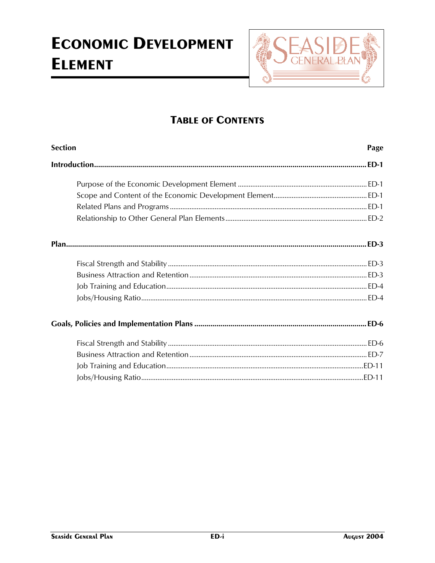

## **TABLE OF CONTENTS**

| <b>Section</b> | Page |
|----------------|------|
|                |      |
|                |      |
|                |      |
|                |      |
|                |      |
|                |      |
|                |      |
|                |      |
|                |      |
|                |      |
|                |      |
|                |      |
|                |      |
|                |      |
|                |      |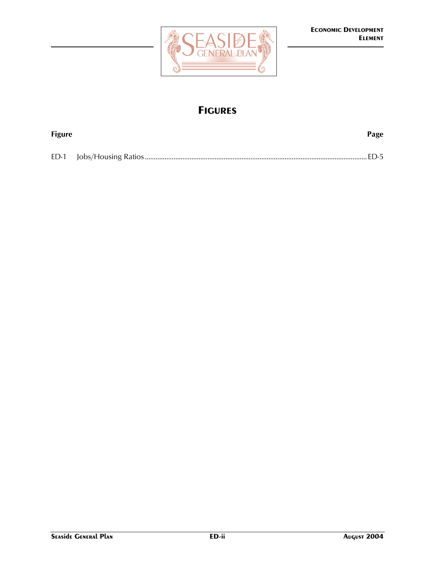

## **FIGURES**

| <b>Figure</b> | Page |
|---------------|------|
|               |      |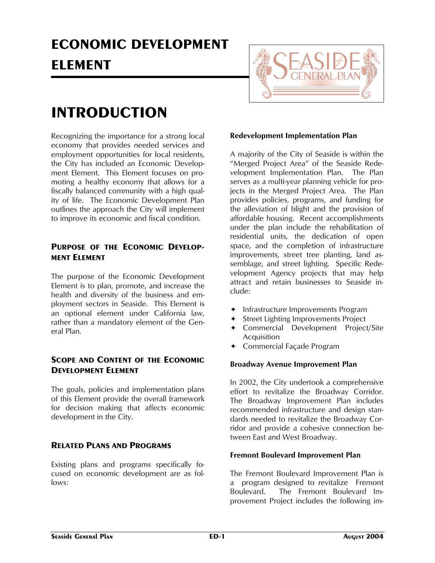## **ECONOMIC DEVELOPMENT ELEMENT**



## **INTRODUCTION**

Recognizing the importance for a strong local economy that provides needed services and employment opportunities for local residents, the City has included an Economic Development Element. This Element focuses on promoting a healthy economy that allows for a fiscally balanced community with a high quality of life. The Economic Development Plan outlines the approach the City will implement to improve its economic and fiscal condition.

## PURPOSE OF THE ECONOMIC DEVELOP-**MENT ELEMENT**

The purpose of the Economic Development Element is to plan, promote, and increase the health and diversity of the business and employment sectors in Seaside. This Element is an optional element under California law, rather than a mandatory element of the General Plan.

## **SCOPE AND CONTENT OF THE ECONOMIC DEVELOPMENT ELEMENT**

The goals, policies and implementation plans of this Element provide the overall framework for decision making that affects economic development in the City.

## **RELATED PLANS AND PROGRAMS**

Existing plans and programs specifically focused on economic development are as follows:

## **Redevelopment Implementation Plan**

A majority of the City of Seaside is within the "Merged Project Area" of the Seaside Redevelopment Implementation Plan. The Plan serves as a multi-year planning vehicle for projects in the Merged Project Area. The Plan provides policies, programs, and funding for the alleviation of blight and the provision of affordable housing. Recent accomplishments under the plan include the rehabilitation of residential units, the dedication of open space, and the completion of infrastructure improvements, street tree planting, land assemblage, and street lighting. Specific Redevelopment Agency projects that may help attract and retain businesses to Seaside include:

- $\triangleleft$  Infrastructure Improvements Program
- Street Lighting Improvements Project
- Ø Commercial Development Project/Site Acquisition
- $\triangleleft$  Commercial Façade Program

## **Broadway Avenue Improvement Plan**

In 2002, the City undertook a comprehensive effort to revitalize the Broadway Corridor. The Broadway Improvement Plan includes recommended infrastructure and design standards needed to revitalize the Broadway Corridor and provide a cohesive connection between East and West Broadway.

## **Fremont Boulevard Improvement Plan**

The Fremont Boulevard Improvement Plan is a program designed to revitalize Fremont Boulevard. The Fremont Boulevard Improvement Project includes the following im-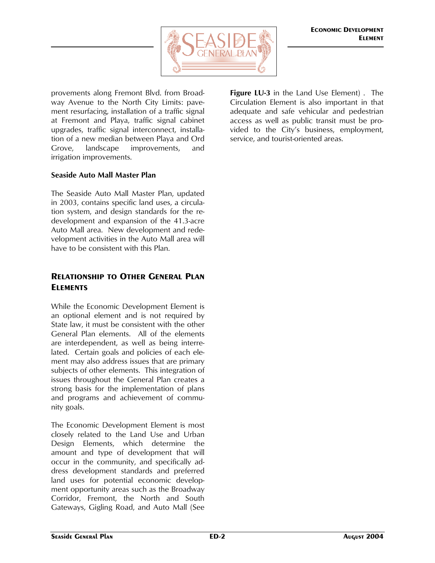

provements along Fremont Blvd. from Broadway Avenue to the North City Limits: pavement resurfacing, installation of a traffic signal at Fremont and Playa, traffic signal cabinet upgrades, traffic signal interconnect, installation of a new median between Playa and Ord Grove, landscape improvements, and irrigation improvements.

### **Seaside Auto Mall Master Plan**

The Seaside Auto Mall Master Plan, updated in 2003, contains specific land uses, a circulation system, and design standards for the redevelopment and expansion of the 41.3-acre Auto Mall area. New development and redevelopment activities in the Auto Mall area will have to be consistent with this Plan.

## **RELATIONSHIP TO OTHER GENERAL PLAN ELEMENTS**

While the Economic Development Element is an optional element and is not required by State law, it must be consistent with the other General Plan elements. All of the elements are interdependent, as well as being interrelated. Certain goals and policies of each element may also address issues that are primary subjects of other elements. This integration of issues throughout the General Plan creates a strong basis for the implementation of plans and programs and achievement of community goals.

The Economic Development Element is most closely related to the Land Use and Urban Design Elements, which determine the amount and type of development that will occur in the community, and specifically address development standards and preferred land uses for potential economic development opportunity areas such as the Broadway Corridor, Fremont, the North and South Gateways, Gigling Road, and Auto Mall (See

**Figure LU-3** in the Land Use Element) . The Circulation Element is also important in that adequate and safe vehicular and pedestrian access as well as public transit must be provided to the City's business, employment, service, and tourist-oriented areas.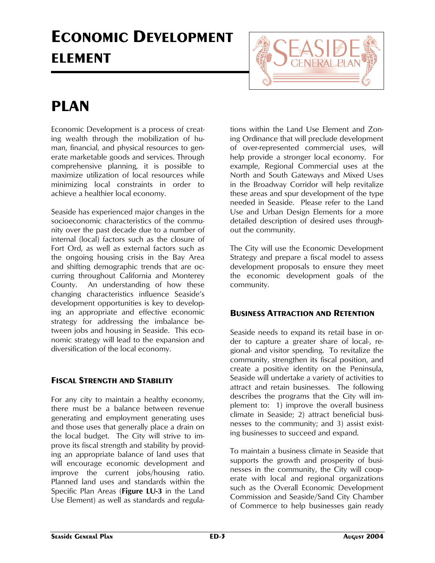# **ECONOMIC DEVELOPMENT ELEMENT**



## **PLAN**

Economic Development is a process of creating wealth through the mobilization of human, financial, and physical resources to generate marketable goods and services. Through comprehensive planning, it is possible to maximize utilization of local resources while minimizing local constraints in order to achieve a healthier local economy.

Seaside has experienced major changes in the socioeconomic characteristics of the community over the past decade due to a number of internal (local) factors such as the closure of Fort Ord, as well as external factors such as the ongoing housing crisis in the Bay Area and shifting demographic trends that are occurring throughout California and Monterey County. An understanding of how these changing characteristics influence Seaside's development opportunities is key to developing an appropriate and effective economic strategy for addressing the imbalance between jobs and housing in Seaside. This economic strategy will lead to the expansion and diversification of the local economy.

## **FISCAL STRENGTH AND STABILITY**

For any city to maintain a healthy economy, there must be a balance between revenue generating and employment generating uses and those uses that generally place a drain on the local budget. The City will strive to improve its fiscal strength and stability by providing an appropriate balance of land uses that will encourage economic development and improve the current jobs/housing ratio. Planned land uses and standards within the Specific Plan Areas (**Figure LU-3** in the Land Use Element) as well as standards and regula-

tions within the Land Use Element and Zoning Ordinance that will preclude development of over-represented commercial uses, will help provide a stronger local economy. For example, Regional Commercial uses at the North and South Gateways and Mixed Uses in the Broadway Corridor will help revitalize these areas and spur development of the type needed in Seaside. Please refer to the Land Use and Urban Design Elements for a more detailed description of desired uses throughout the community.

The City will use the Economic Development Strategy and prepare a fiscal model to assess development proposals to ensure they meet the economic development goals of the community.

## **BUSINESS ATTRACTION AND RETENTION**

Seaside needs to expand its retail base in order to capture a greater share of local-, regional- and visitor spending. To revitalize the community, strengthen its fiscal position, and create a positive identity on the Peninsula, Seaside will undertake a variety of activities to attract and retain businesses. The following describes the programs that the City will implement to: 1) improve the overall business climate in Seaside; 2) attract beneficial businesses to the community; and 3) assist existing businesses to succeed and expand.

To maintain a business climate in Seaside that supports the growth and prosperity of businesses in the community, the City will cooperate with local and regional organizations such as the Overall Economic Development Commission and Seaside/Sand City Chamber of Commerce to help businesses gain ready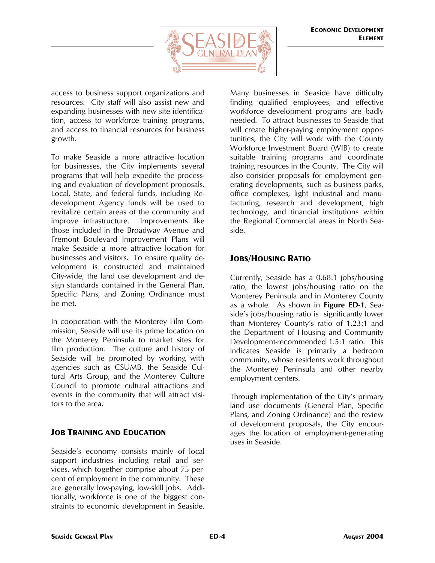

access to business support organizations and resources. City staff will also assist new and expanding businesses with new site identification, access to workforce training programs, and access to financial resources for business growth.

To make Seaside a more attractive location for businesses, the City implements several programs that will help expedite the processing and evaluation of development proposals. Local, State, and federal funds, including Redevelopment Agency funds will be used to revitalize certain areas of the community and improve infrastructure. Improvements like those included in the Broadway Avenue and Fremont Boulevard Improvement Plans will make Seaside a more attractive location for businesses and visitors. To ensure quality development is constructed and maintained City-wide, the land use development and design standards contained in the General Plan, Specific Plans, and Zoning Ordinance must be met.

In cooperation with the Monterey Film Commission, Seaside will use its prime location on the Monterey Peninsula to market sites for film production. The culture and history of Seaside will be promoted by working with agencies such as CSUMB, the Seaside Cultural Arts Group, and the Monterey Culture Council to promote cultural attractions and events in the community that will attract visitors to the area.

## **JOB TRAINING AND EDUCATION**

Seaside's economy consists mainly of local support industries including retail and services, which together comprise about 75 percent of employment in the community. These are generally low-paying, low-skill jobs. Additionally, workforce is one of the biggest constraints to economic development in Seaside.

Many businesses in Seaside have difficulty finding qualified employees, and effective workforce development programs are badly needed. To attract businesses to Seaside that will create higher-paying employment opportunities, the City will work with the County Workforce Investment Board (WIB) to create suitable training programs and coordinate training resources in the County. The City will also consider proposals for employment generating developments, such as business parks, office complexes, light industrial and manufacturing, research and development, high technology, and financial institutions within the Regional Commercial areas in North Seaside.

## **JOBS/HOUSING RATIO**

Currently, Seaside has a 0.68:1 jobs/housing ratio, the lowest jobs/housing ratio on the Monterey Peninsula and in Monterey County as a whole. As shown in **Figure ED-1**, Seaside's jobs/housing ratio is significantly lower than Monterey County's ratio of 1.23:1 and the Department of Housing and Community Development-recommended 1.5:1 ratio. This indicates Seaside is primarily a bedroom community, whose residents work throughout the Monterey Peninsula and other nearby employment centers.

Through implementation of the City's primary land use documents (General Plan, Specific Plans, and Zoning Ordinance) and the review of development proposals, the City encourages the location of employment-generating uses in Seaside.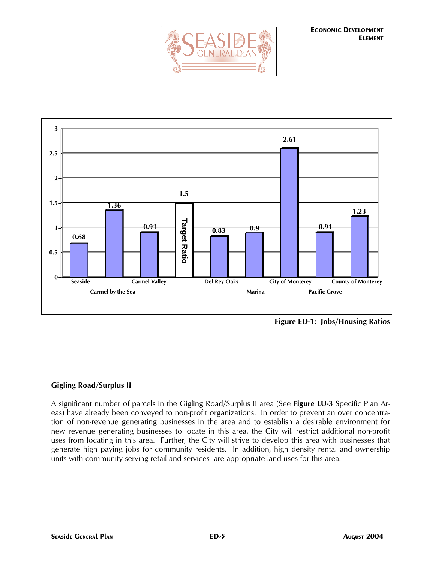



**Figure ED-1: Jobs/Housing Ratios**

## **Gigling Road/Surplus II**

A significant number of parcels in the Gigling Road/Surplus II area (See **Figure LU-3** Specific Plan Areas) have already been conveyed to non-profit organizations. In order to prevent an over concentration of non-revenue generating businesses in the area and to establish a desirable environment for new revenue generating businesses to locate in this area, the City will restrict additional non-profit uses from locating in this area. Further, the City will strive to develop this area with businesses that generate high paying jobs for community residents. In addition, high density rental and ownership units with community serving retail and services are appropriate land uses for this area.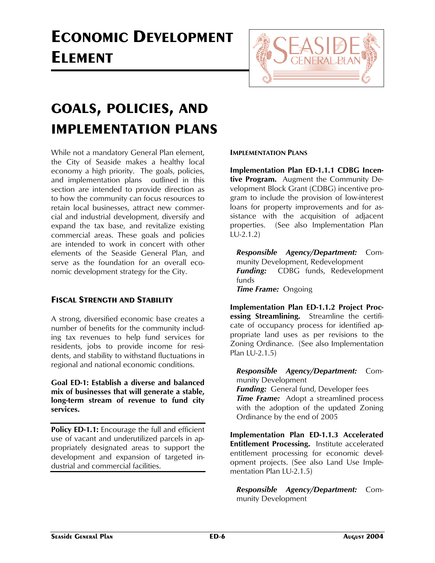# **ECONOMIC DEVELOPMENT ELEMENT**



## **GOALS, POLICIES, AND IMPLEMENTATION PLANS**

While not a mandatory General Plan element, the City of Seaside makes a healthy local economy a high priority. The goals, policies, and implementation plans outlined in this section are intended to provide direction as to how the community can focus resources to retain local businesses, attract new commercial and industrial development, diversify and expand the tax base, and revitalize existing commercial areas. These goals and policies are intended to work in concert with other elements of the Seaside General Plan, and serve as the foundation for an overall economic development strategy for the City.

## **FISCAL STRENGTH AND STABILITY**

A strong, diversified economic base creates a number of benefits for the community including tax revenues to help fund services for residents, jobs to provide income for residents, and stability to withstand fluctuations in regional and national economic conditions.

**Goal ED-1: Establish a diverse and balanced mix of businesses that will generate a stable, long-term stream of revenue to fund city services.** 

**Policy ED-1.1:** Encourage the full and efficient use of vacant and underutilized parcels in appropriately designated areas to support the development and expansion of targeted industrial and commercial facilities.

### **IMPLEMENTATION PLANS**

**Implementation Plan ED-1.1.1 CDBG Incentive Program.** Augment the Community Development Block Grant (CDBG) incentive program to include the provision of low-interest loans for property improvements and for assistance with the acquisition of adjacent properties. (See also Implementation Plan LU-2.1.2)

*Responsible Agency/Department:* Community Development, Redevelopment *Funding:* CDBG funds, Redevelopment funds *Time Frame:* Ongoing

**Implementation Plan ED-1.1.2 Project Processing Streamlining.** Streamline the certificate of occupancy process for identified appropriate land uses as per revisions to the Zoning Ordinance.(See also Implementation Plan LU-2.1.5)

*Responsible Agency/Department:* Community Development

*Funding:* General fund, Developer fees **Time Frame:** Adopt a streamlined process with the adoption of the updated Zoning Ordinance by the end of 2005

**Implementation Plan ED-1.1.3 Accelerated Entitlement Processing.** Institute accelerated entitlement processing for economic development projects. (See also Land Use Implementation Plan LU-2.1.5)

*Responsible Agency/Department:* Community Development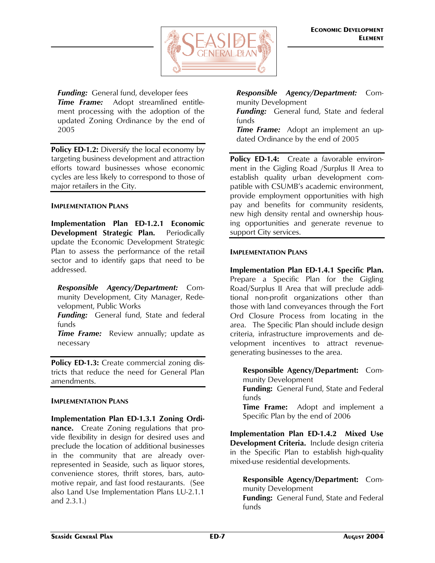

*Funding:* General fund, developer fees **Time Frame:** Adopt streamlined entitlement processing with the adoption of the updated Zoning Ordinance by the end of 2005

**Policy ED-1.2:** Diversify the local economy by targeting business development and attraction efforts toward businesses whose economic cycles are less likely to correspond to those of major retailers in the City.

### **IMPLEMENTATION PLANS**

**Implementation Plan ED-1.2.1 Economic Development Strategic Plan.** Periodically update the Economic Development Strategic Plan to assess the performance of the retail sector and to identify gaps that need to be addressed.

*Responsible Agency/Department:* Community Development, City Manager, Redevelopment, Public Works

*Funding:* General fund, State and federal funds

*Time Frame:* Review annually; update as necessary

**Policy ED-1.3:** Create commercial zoning districts that reduce the need for General Plan amendments.

#### **IMPLEMENTATION PLANS**

**Implementation Plan ED-1.3.1 Zoning Ordinance.** Create Zoning regulations that provide flexibility in design for desired uses and preclude the location of additional businesses in the community that are already overrepresented in Seaside, such as liquor stores, convenience stores, thrift stores, bars, automotive repair, and fast food restaurants. (See also Land Use Implementation Plans LU-2.1.1 and 2.3.1.)

*Responsible Agency/Department:* Community Development

*Funding:* General fund, State and federal funds

*Time Frame:* Adopt an implement an updated Ordinance by the end of 2005

**Policy ED-1.4:** Create a favorable environment in the Gigling Road /Surplus II Area to establish quality urban development compatible with CSUMB's academic environment, provide employment opportunities with high pay and benefits for community residents, new high density rental and ownership housing opportunities and generate revenue to support City services.

### **IMPLEMENTATION PLANS**

**Implementation Plan ED-1.4.1 Specific Plan.**  Prepare a Specific Plan for the Gigling Road/Surplus II Area that will preclude additional non-profit organizations other than those with land conveyances through the Fort Ord Closure Process from locating in the area. The Specific Plan should include design criteria, infrastructure improvements and development incentives to attract revenuegenerating businesses to the area.

**Responsible Agency/Department:** Community Development **Funding:** General Fund, State and Federal

funds

**Time Frame:** Adopt and implement a Specific Plan by the end of 2006

**Implementation Plan ED-1.4.2 Mixed Use Development Criteria.** Include design criteria in the Specific Plan to establish high-quality mixed-use residential developments.

**Responsible Agency/Department:** Community Development

**Funding:** General Fund, State and Federal funds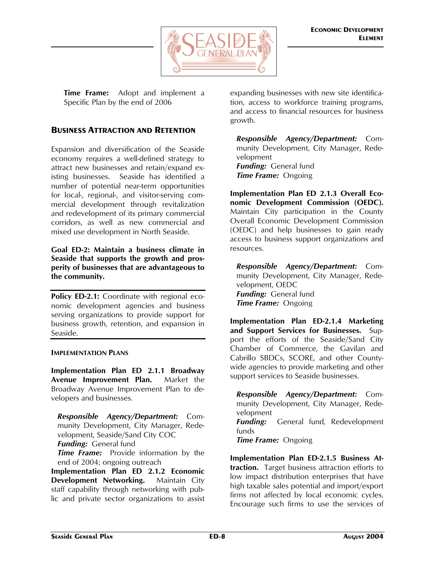

**Time Frame:** Adopt and implement a Specific Plan by the end of 2006

## **BUSINESS ATTRACTION AND RETENTION**

Expansion and diversification of the Seaside economy requires a well-defined strategy to attract new businesses and retain/expand existing businesses. Seaside has identified a number of potential near-term opportunities for local-, regional-, and visitor-serving commercial development through revitalization and redevelopment of its primary commercial corridors, as well as new commercial and mixed use development in North Seaside.

**Goal ED-2: Maintain a business climate in Seaside that supports the growth and prosperity of businesses that are advantageous to the community.** 

**Policy ED-2.1:** Coordinate with regional economic development agencies and business serving organizations to provide support for business growth, retention, and expansion in Seaside.

#### **IMPLEMENTATION PLANS**

**Implementation Plan ED 2.1.1 Broadway Avenue Improvement Plan.** Market the Broadway Avenue Improvement Plan to developers and businesses.

*Responsible Agency/Department:* Community Development, City Manager, Redevelopment, Seaside/Sand City COC *Funding:* General fund

*Time Frame:* Provide information by the end of 2004; ongoing outreach

**Implementation Plan ED 2.1.2 Economic Development Networking.** Maintain City staff capability through networking with public and private sector organizations to assist

expanding businesses with new site identification, access to workforce training programs, and access to financial resources for business growth.

*Responsible Agency/Department:* Community Development, City Manager, Redevelopment *Funding:* General fund *Time Frame:* Ongoing

**Implementation Plan ED 2.1.3 Overall Economic Development Commission (OEDC).** Maintain City participation in the County Overall Economic Development Commission (OEDC) and help businesses to gain ready access to business support organizations and resources.

*Responsible Agency/Department:* Community Development, City Manager, Redevelopment, OEDC *Funding:* General fund *Time Frame:* Ongoing

**Implementation Plan ED-2.1.4 Marketing and Support Services for Businesses.** Support the efforts of the Seaside/Sand City Chamber of Commerce, the Gavilan and Cabrillo SBDCs, SCORE, and other Countywide agencies to provide marketing and other support services to Seaside businesses.

*Responsible Agency/Department:* Community Development, City Manager, Redevelopment **Funding:** General fund, Redevelopment funds *Time Frame:* Ongoing

**Implementation Plan ED-2.1.5 Business Attraction.** Target business attraction efforts to low impact distribution enterprises that have high taxable sales potential and import/export firms not affected by local economic cycles. Encourage such firms to use the services of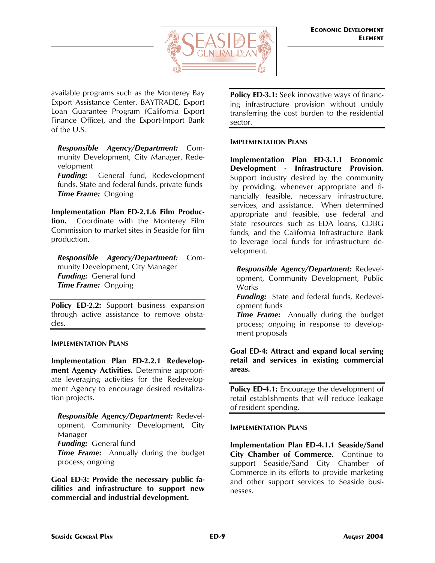

available programs such as the Monterey Bay Export Assistance Center, BAYTRADE, Export Loan Guarantee Program (California Export Finance Office), and the Export-Import Bank of the U.S.

*Responsible Agency/Department:* Community Development, City Manager, Redevelopment

*Funding:* General fund, Redevelopment funds, State and federal funds, private funds *Time Frame:* Ongoing

**Implementation Plan ED-2.1.6 Film Production.** Coordinate with the Monterey Film Commission to market sites in Seaside for film production.

*Responsible Agency/Department:* Community Development, City Manager *Funding:* General fund *Time Frame:* Ongoing

Policy ED-2.2: Support business expansion through active assistance to remove obstacles.

#### **IMPLEMENTATION PLANS**

**Implementation Plan ED-2.2.1 Redevelopment Agency Activities.** Determine appropriate leveraging activities for the Redevelopment Agency to encourage desired revitalization projects.

*Responsible Agency/Department:* Redevelopment, Community Development, City Manager *Funding:* General fund

**Time Frame:** Annually during the budget process; ongoing

**Goal ED-3: Provide the necessary public facilities and infrastructure to support new commercial and industrial development.**

**Policy ED-3.1:** Seek innovative ways of financing infrastructure provision without unduly transferring the cost burden to the residential sector.

#### **IMPLEMENTATION PLANS**

**Implementation Plan ED-3.1.1 Economic Development - Infrastructure Provision.**  Support industry desired by the community by providing, whenever appropriate and financially feasible, necessary infrastructure, services, and assistance. When determined appropriate and feasible, use federal and State resources such as EDA loans, CDBG funds, and the California Infrastructure Bank to leverage local funds for infrastructure development.

*Responsible Agency/Department:* Redevelopment, Community Development, Public Works

*Funding:* State and federal funds, Redevelopment funds

**Time Frame:** Annually during the budget process; ongoing in response to development proposals

**Goal ED-4: Attract and expand local serving retail and services in existing commercial areas.**

**Policy ED-4.1:** Encourage the development of retail establishments that will reduce leakage of resident spending.

#### **IMPLEMENTATION PLANS**

**Implementation Plan ED-4.1.1 Seaside/Sand City Chamber of Commerce.** Continue to support Seaside/Sand City Chamber of Commerce in its efforts to provide marketing and other support services to Seaside businesses.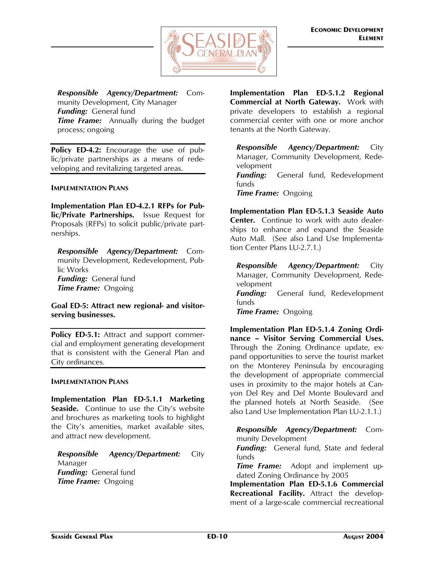

*Responsible Agency/Department:* Community Development, City Manager *Funding:* General fund **Time Frame:** Annually during the budget process; ongoing

**Policy ED-4.2:** Encourage the use of public/private partnerships as a means of redeveloping and revitalizing targeted areas.

#### **IMPLEMENTATION PLANS**

**Implementation Plan ED-4.2.1 RFPs for Public/Private Partnerships.** Issue Request for Proposals (RFPs) to solicit public/private partnerships.

*Responsible Agency/Department:* Community Development, Redevelopment, Public Works *Funding:* General fund *Time Frame:* Ongoing

**Goal ED-5: Attract new regional- and visitorserving businesses.** 

Policy ED-5.1: Attract and support commercial and employment generating development that is consistent with the General Plan and City ordinances.

#### **IMPLEMENTATION PLANS**

**Implementation Plan ED-5.1.1 Marketing Seaside.** Continue to use the City's website and brochures as marketing tools to highlight the City's amenities, market available sites, and attract new development.

*Responsible Agency/Department:* City Manager *Funding:* General fund *Time Frame:* Ongoing

**Implementation Plan ED-5.1.2 Regional Commercial at North Gateway.** Work with private developers to establish a regional commercial center with one or more anchor tenants at the North Gateway.

*Responsible Agency/Department:* City Manager, Community Development, Redevelopment *Funding:* General fund, Redevelopment funds *Time Frame:* Ongoing

**Implementation Plan ED-5.1.3 Seaside Auto Center.** Continue to work with auto dealerships to enhance and expand the Seaside Auto Mall. (See also Land Use Implementation Center Plans LU-2.7.1.)

*Responsible Agency/Department:* City Manager, Community Development, Redevelopment **Funding:** General fund, Redevelopment funds *Time Frame:* Ongoing

**Implementation Plan ED-5.1.4 Zoning Ordinance – Visitor Serving Commercial Uses.**  Through the Zoning Ordinance update, expand opportunities to serve the tourist market on the Monterey Peninsula by encouraging the development of appropriate commercial uses in proximity to the major hotels at Canyon Del Rey and Del Monte Boulevard and the planned hotels at North Seaside. (See also Land Use Implementation Plan LU-2.1.1.)

*Responsible Agency/Department:* Community Development

*Funding:* General fund, State and federal funds

*Time Frame:* Adopt and implement updated Zoning Ordinance by 2005

**Implementation Plan ED-5.1.6 Commercial Recreational Facility.** Attract the development of a large-scale commercial recreational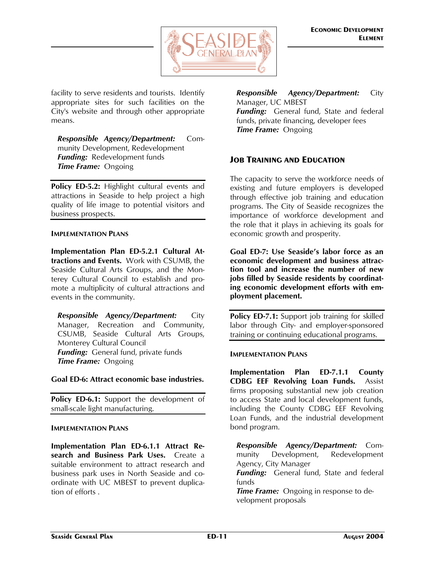

facility to serve residents and tourists. Identify appropriate sites for such facilities on the City's website and through other appropriate means.

*Responsible Agency/Department:* Community Development, Redevelopment *Funding:* Redevelopment funds *Time Frame:* Ongoing

**Policy ED-5.2:** Highlight cultural events and attractions in Seaside to help project a high quality of life image to potential visitors and business prospects.

#### **IMPLEMENTATION PLANS**

**Implementation Plan ED-5.2.1 Cultural Attractions and Events.** Work with CSUMB, the Seaside Cultural Arts Groups, and the Monterey Cultural Council to establish and promote a multiplicity of cultural attractions and events in the community.

*Responsible Agency/Department:* City Manager, Recreation and Community, CSUMB, Seaside Cultural Arts Groups, Monterey Cultural Council *Funding:* General fund, private funds *Time Frame:* Ongoing

#### **Goal ED-6: Attract economic base industries.**

Policy ED-6.1: Support the development of small-scale light manufacturing.

#### **IMPLEMENTATION PLANS**

**Implementation Plan ED-6.1.1 Attract Research and Business Park Uses.** Create a suitable environment to attract research and business park uses in North Seaside and coordinate with UC MBEST to prevent duplication of efforts .

*Responsible Agency/Department:* City Manager, UC MBEST *Funding:* General fund, State and federal funds, private financing, developer fees *Time Frame:* Ongoing

## **JOB TRAINING AND EDUCATION**

The capacity to serve the workforce needs of existing and future employers is developed through effective job training and education programs. The City of Seaside recognizes the importance of workforce development and the role that it plays in achieving its goals for economic growth and prosperity.

**Goal ED-7: Use Seaside's labor force as an economic development and business attraction tool and increase the number of new jobs filled by Seaside residents by coordinating economic development efforts with employment placement.** 

Policy ED-7.1: Support job training for skilled labor through City- and employer-sponsored training or continuing educational programs.

#### **IMPLEMENTATION PLANS**

**Implementation Plan ED-7.1.1 County CDBG EEF Revolving Loan Funds.** Assist firms proposing substantial new job creation to access State and local development funds, including the County CDBG EEF Revolving Loan Funds, and the industrial development bond program.

*Responsible Agency/Department:* Community Development, Redevelopment Agency, City Manager

*Funding:* General fund, State and federal funds

*Time Frame:* Ongoing in response to development proposals